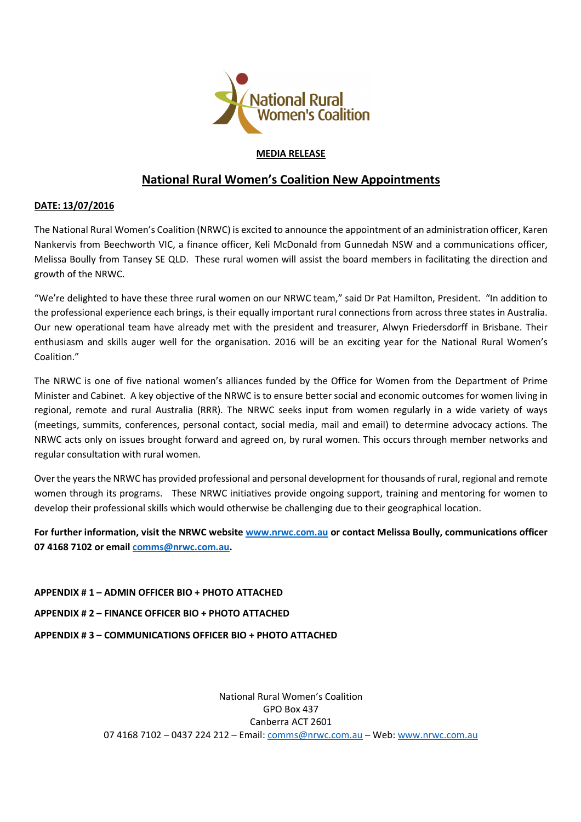

## **MEDIA RELEASE**

# **National Rural Women's Coalition New Appointments**

## **DATE: 13/07/2016**

The National Rural Women's Coalition (NRWC) is excited to announce the appointment of an administration officer, Karen Nankervis from Beechworth VIC, a finance officer, Keli McDonald from Gunnedah NSW and a communications officer, Melissa Boully from Tansey SE QLD. These rural women will assist the board members in facilitating the direction and growth of the NRWC.

"We're delighted to have these three rural women on our NRWC team," said Dr Pat Hamilton, President. "In addition to the professional experience each brings, is their equally important rural connections from across three states in Australia. Our new operational team have already met with the president and treasurer, Alwyn Friedersdorff in Brisbane. Their enthusiasm and skills auger well for the organisation. 2016 will be an exciting year for the National Rural Women's Coalition."

The NRWC is one of five national women's alliances funded by the Office for Women from the Department of Prime Minister and Cabinet. A key objective of the NRWC is to ensure better social and economic outcomes for women living in regional, remote and rural Australia (RRR). The NRWC seeks input from women regularly in a wide variety of ways (meetings, summits, conferences, personal contact, social media, mail and email) to determine advocacy actions. The NRWC acts only on issues brought forward and agreed on, by rural women. This occurs through member networks and regular consultation with rural women.

Over the years the NRWC has provided professional and personal development for thousands of rural, regional and remote women through its programs. These NRWC initiatives provide ongoing support, training and mentoring for women to develop their professional skills which would otherwise be challenging due to their geographical location.

**For further information, visit the NRWC website www.nrwc.com.au or contact Melissa Boully, communications officer 07 4168 7102 or email comms@nrwc.com.au.** 

**APPENDIX # 1 – ADMIN OFFICER BIO + PHOTO ATTACHED APPENDIX # 2 – FINANCE OFFICER BIO + PHOTO ATTACHED APPENDIX # 3 – COMMUNICATIONS OFFICER BIO + PHOTO ATTACHED** 

> National Rural Women's Coalition GPO Box 437 Canberra ACT 2601 07 4168 7102 – 0437 224 212 – Email: comms@nrwc.com.au – Web: www.nrwc.com.au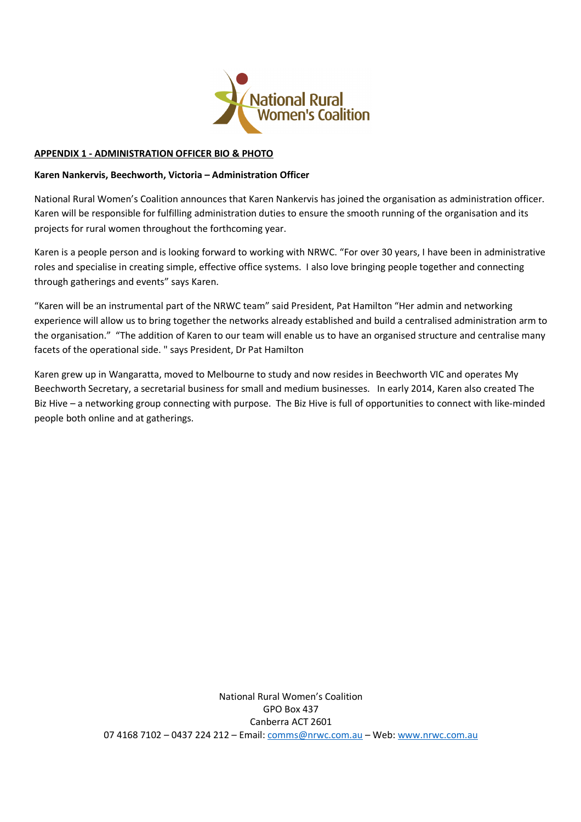

#### **APPENDIX 1 - ADMINISTRATION OFFICER BIO & PHOTO**

#### **Karen Nankervis, Beechworth, Victoria – Administration Officer**

National Rural Women's Coalition announces that Karen Nankervis has joined the organisation as administration officer. Karen will be responsible for fulfilling administration duties to ensure the smooth running of the organisation and its projects for rural women throughout the forthcoming year.

Karen is a people person and is looking forward to working with NRWC. "For over 30 years, I have been in administrative roles and specialise in creating simple, effective office systems. I also love bringing people together and connecting through gatherings and events" says Karen.

"Karen will be an instrumental part of the NRWC team" said President, Pat Hamilton "Her admin and networking experience will allow us to bring together the networks already established and build a centralised administration arm to the organisation." "The addition of Karen to our team will enable us to have an organised structure and centralise many facets of the operational side. " says President, Dr Pat Hamilton

Karen grew up in Wangaratta, moved to Melbourne to study and now resides in Beechworth VIC and operates My Beechworth Secretary, a secretarial business for small and medium businesses. In early 2014, Karen also created The Biz Hive – a networking group connecting with purpose. The Biz Hive is full of opportunities to connect with like-minded people both online and at gatherings.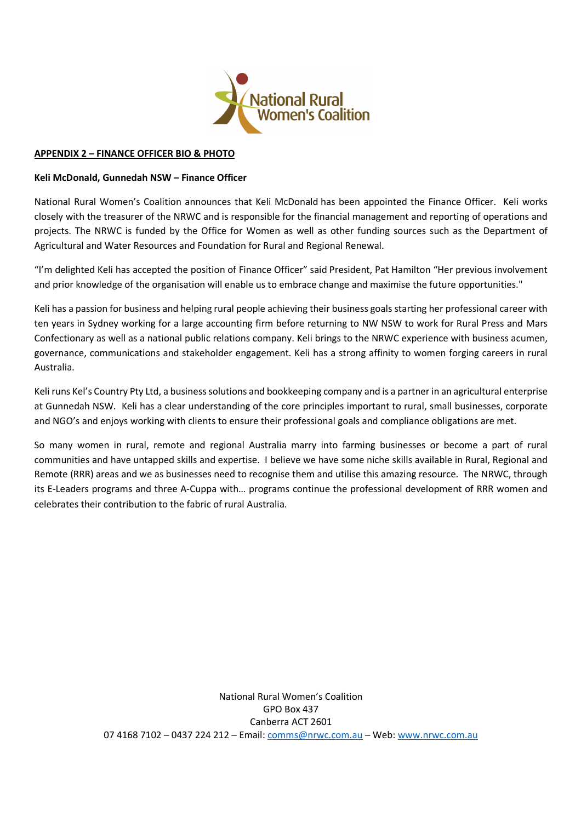

#### **APPENDIX 2 – FINANCE OFFICER BIO & PHOTO**

#### **Keli McDonald, Gunnedah NSW – Finance Officer**

National Rural Women's Coalition announces that Keli McDonald has been appointed the Finance Officer. Keli works closely with the treasurer of the NRWC and is responsible for the financial management and reporting of operations and projects. The NRWC is funded by the Office for Women as well as other funding sources such as the Department of Agricultural and Water Resources and Foundation for Rural and Regional Renewal.

"I'm delighted Keli has accepted the position of Finance Officer" said President, Pat Hamilton "Her previous involvement and prior knowledge of the organisation will enable us to embrace change and maximise the future opportunities."

Keli has a passion for business and helping rural people achieving their business goals starting her professional career with ten years in Sydney working for a large accounting firm before returning to NW NSW to work for Rural Press and Mars Confectionary as well as a national public relations company. Keli brings to the NRWC experience with business acumen, governance, communications and stakeholder engagement. Keli has a strong affinity to women forging careers in rural Australia.

Keli runs Kel's Country Pty Ltd, a business solutions and bookkeeping company and is a partner in an agricultural enterprise at Gunnedah NSW. Keli has a clear understanding of the core principles important to rural, small businesses, corporate and NGO's and enjoys working with clients to ensure their professional goals and compliance obligations are met.

So many women in rural, remote and regional Australia marry into farming businesses or become a part of rural communities and have untapped skills and expertise. I believe we have some niche skills available in Rural, Regional and Remote (RRR) areas and we as businesses need to recognise them and utilise this amazing resource. The NRWC, through its E-Leaders programs and three A-Cuppa with… programs continue the professional development of RRR women and celebrates their contribution to the fabric of rural Australia.

> National Rural Women's Coalition GPO Box 437 Canberra ACT 2601 07 4168 7102 – 0437 224 212 – Email: comms@nrwc.com.au – Web: www.nrwc.com.au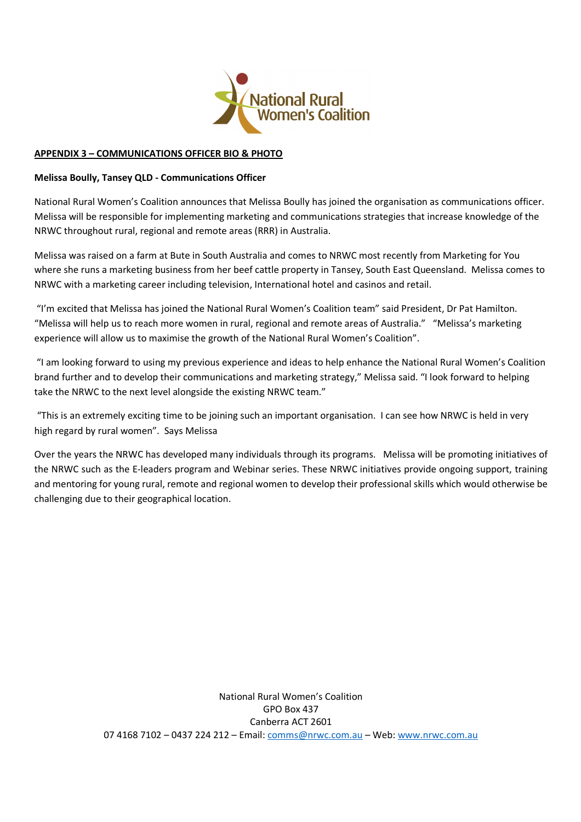

#### **APPENDIX 3 – COMMUNICATIONS OFFICER BIO & PHOTO**

#### **Melissa Boully, Tansey QLD - Communications Officer**

National Rural Women's Coalition announces that Melissa Boully has joined the organisation as communications officer. Melissa will be responsible for implementing marketing and communications strategies that increase knowledge of the NRWC throughout rural, regional and remote areas (RRR) in Australia.

Melissa was raised on a farm at Bute in South Australia and comes to NRWC most recently from Marketing for You where she runs a marketing business from her beef cattle property in Tansey, South East Queensland. Melissa comes to NRWC with a marketing career including television, International hotel and casinos and retail.

 "I'm excited that Melissa has joined the National Rural Women's Coalition team" said President, Dr Pat Hamilton. "Melissa will help us to reach more women in rural, regional and remote areas of Australia." "Melissa's marketing experience will allow us to maximise the growth of the National Rural Women's Coalition".

 "I am looking forward to using my previous experience and ideas to help enhance the National Rural Women's Coalition brand further and to develop their communications and marketing strategy," Melissa said. "I look forward to helping take the NRWC to the next level alongside the existing NRWC team."

"This is an extremely exciting time to be joining such an important organisation. I can see how NRWC is held in very high regard by rural women". Says Melissa

Over the years the NRWC has developed many individuals through its programs. Melissa will be promoting initiatives of the NRWC such as the E-leaders program and Webinar series. These NRWC initiatives provide ongoing support, training and mentoring for young rural, remote and regional women to develop their professional skills which would otherwise be challenging due to their geographical location.

> National Rural Women's Coalition GPO Box 437 Canberra ACT 2601 07 4168 7102 – 0437 224 212 – Email: comms@nrwc.com.au – Web: www.nrwc.com.au